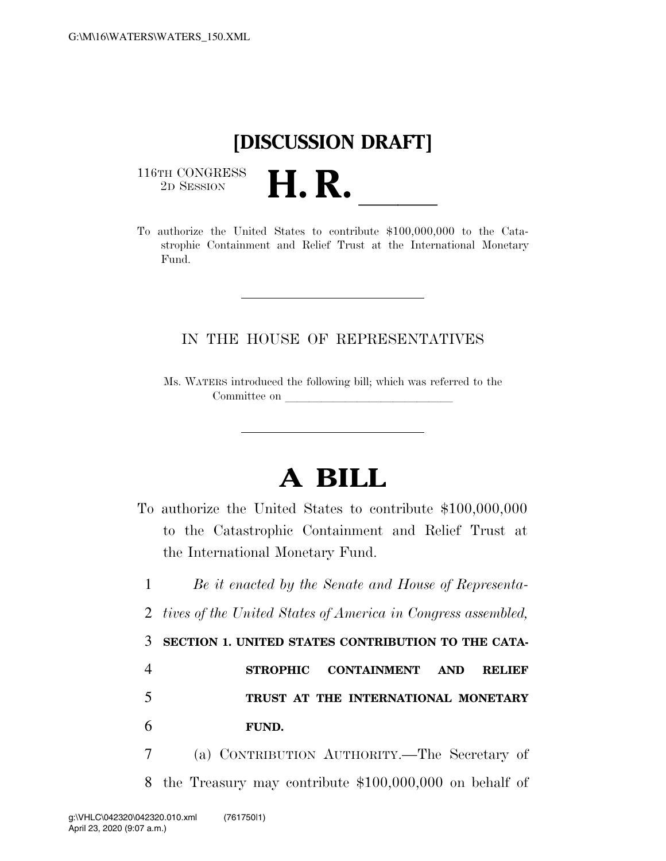## **[DISCUSSION DRAFT]**

 $\begin{array}{c} \textbf{116TH CONGRESS} \\ \textbf{2D SESION} \end{array}$ 



## IN THE HOUSE OF REPRESENTATIVES

Ms. WATERS introduced the following bill; which was referred to the Committee on

## **A BILL**

To authorize the United States to contribute \$100,000,000 to the Catastrophic Containment and Relief Trust at the International Monetary Fund.

 *Be it enacted by the Senate and House of Representa- tives of the United States of America in Congress assembled,*  **SECTION 1. UNITED STATES CONTRIBUTION TO THE CATA- STROPHIC CONTAINMENT AND RELIEF TRUST AT THE INTERNATIONAL MONETARY**  6 **FUND.** 

7 (a) CONTRIBUTION AUTHORITY.—The Secretary of 8 the Treasury may contribute \$100,000,000 on behalf of